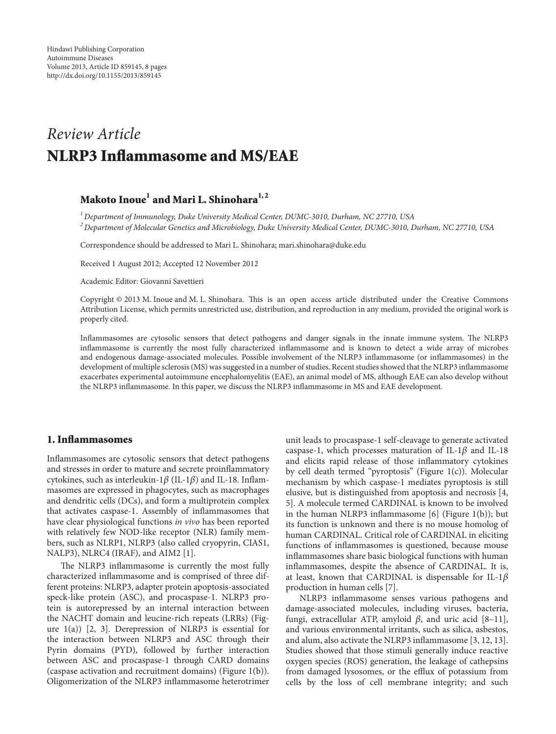# *Article Review* NLRP3 Inflammasome and MS/EAE

## Makoto Inoue<sup>1</sup> and Mari L. Shinohara<sup>1,2</sup>

<sup>1</sup> Department of Immunology, Duke University Medical Center, DUMC-3010, Durham, NC 27710, USA <sup>2</sup> Department of Molecular Genetics and Microbiology, Duke University Medical Center, DUMC-3010, Durham, NC 27710, USA

Correspondence should be addressed to Mari L. Shinohara; mari.shinohara@duke.edu

Received 1 August 2012; Accepted 12 November 2012

Academic Editor: Giovanni Savettieri

Copyright @ 2013 M. Inoue and M. L. Shinohara. This is an open access article distributed under the Creative Commons Attribution License, which permits unrestricted use, distribution, and reproduction in any medium, provided the original work is properly cited.

Inflammasomes are cytosolic sensors that detect pathogens and danger signals in the innate immune system. The NLRP3 inflammasome is currently the most fully characterized inflammasome and is known to detect a wide array of microbes and endogenous damage-associated molecules. Possible involvement of the NLRP3 inflammasome (or inflammasomes) in the development of multiple sclerosis (MS) was suggested in a number of studies. Recent studies showed that the NLRP3 inflammasome exacerbates experimental autoimmune encephalomyelitis (EAE), an animal model of MS, although EAE can also develop without the NLRP3 inflammasome. In this paper, we discuss the NLRP3 inflammasome in MS and EAE development.

## 1. Inflammasomes

Inflammasomes are cytosolic sensors that detect pathogens and stresses in order to mature and secrete proinflammatory masomes are expressed in phagocytes, such as macrophages cytokines, such as interleukin-1 $\beta$  (IL-1 $\beta$ ) and IL-18. Inflamand dendritic cells (DCs), and form a multiprotein complex that activates caspase-1. Assembly of inflammasomes that have clear physiological functions in vivo has been reported bers, such as NLRP1, NLRP3 (also called cryopyrin, CIAS1, with relatively few NOD-like receptor (NLR) family mem-NALP3), NLRC4 (IRAF), and AIM2 [1].

The NLRP3 inflammasome is currently the most fully ferent proteins: NLRP3, adapter protein apoptosis-associated characterized inflammasome and is comprised of three diftein is autorepressed by an internal interaction between speck-like protein (ASC), and procaspase-1. NLRP3 proure  $1(a)$ ) [2, 3]. Derepression of NLRP3 is essential for the NACHT domain and leucine-rich repeats (LRRs) (Figthe interaction between NLRP3 and ASC through their Pyrin domains (PYD), followed by further interaction between ASC and procaspase-1 through CARD domains (caspase activation and recruitment domains) (Figure  $1(b)$ ). Oligomerization of the NLRP3 inflammasome heterotrimer

unit leads to procaspase-1 self-cleavage to generate activated caspase-1, which processes maturation of IL-1 $\beta$  and IL-18 and elicits rapid release of those inflammatory cytokines by cell death termed "pyroptosis" (Figure  $1(c)$ ). Molecular mechanism by which caspase-1 mediates pyroptosis is still elusive, but is distinguished from apoptosis and necrosis [4, 5]. A molecule termed CARDINAL is known to be involved in the human NLRP3 inflammasome  $[6]$  (Figure 1(b)); but its function is unknown and there is no mouse homolog of human CARDINAL. Critical role of CARDINAL in eliciting functions of inflammasomes is questioned, because mouse inflammasomes share basic biological functions with human inflammasomes, despite the absence of CARDINAL. It is, at least, known that CARDINAL is dispensable for IL-1 $\beta$ production in human cells [7].

NLRP3 inflammasome senses various pathogens and damage-associated molecules, including viruses, bacteria, fungi, extracellular ATP, amyloid  $\beta$ , and uric acid [8-11], and various environmental irritants, such as silica, asbestos, and alum, also activate the NLRP3 inflammasome  $[3, 12, 13]$ . Studies showed that those stimuli generally induce reactive oxygen species (ROS) generation, the leakage of cathepsins from damaged lysosomes, or the efflux of potassium from cells by the loss of cell membrane integrity; and such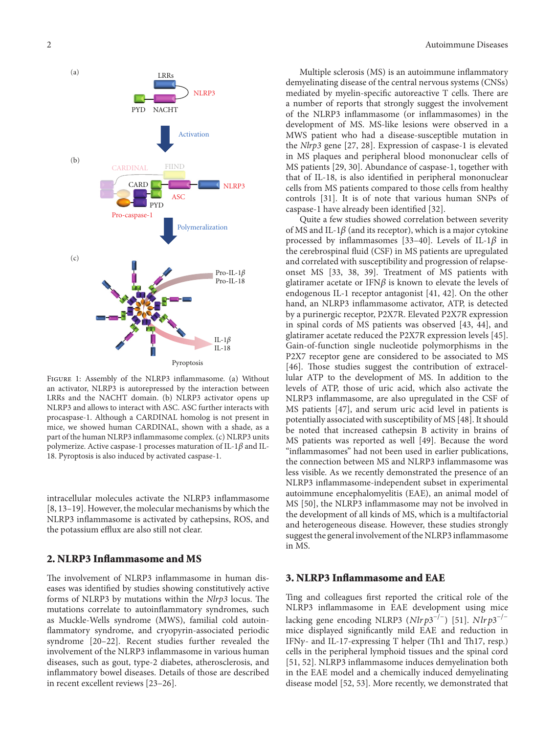

FIGURE 1: Assembly of the NLRP3 inflammasome. (a) Without an activator, NLRP3 is autorepressed by the interaction between LRRs and the NACHT domain. (b) NLRP3 activator opens up NLRP3 and allows to interact with ASC. ASC further interacts with procaspase-1. Although a CARDINAL homolog is not present in mice, we showed human CARDINAL, shown with a shade, as a part of the human NLRP3 inflammasome complex. (c) NLRP3 units polymerize. Active caspase-1 processes maturation of IL-1 $\beta$  and IL-18. Pyroptosis is also induced by activated caspase-1.

intracellular molecules activate the NLRP3 inflammasome [8, 13–19]. However, the molecular mechanisms by which the NLRP3 inflammasome is activated by cathepsins, ROS, and the potassium efflux are also still not clear.

## 2. NLRP3 Inflammasome and MS

eases was identified by studies showing constitutively active The involvement of NLRP3 inflammasome in human disforms of NLRP3 by mutations within the *Nlrp3* locus. The mutations correlate to autoinflammatory syndromes, such as Muckle-Wells syndrome (MWS), familial cold autoinflammatory syndrome, and cryopyrin-associated periodic syndrome  $[20-22]$ . Recent studies further revealed the involvement of the NLRP3 inflammasome in various human diseases, such as gout, type-2 diabetes, atherosclerosis, and inflammatory bowel diseases. Details of those are described in recent excellent reviews [23-26].

Multiple sclerosis (MS) is an autoimmune inflammatory demyelinating disease of the central nervous systems (CNSs) mediated by myelin-specific autoreactive T cells. There are a number of reports that strongly suggest the involvement of the NLRP3 inflammasome (or inflammasomes) in the development of MS. MS-like lesions were observed in a MWS patient who had a disease-susceptible mutation in the *Nlrp*3 gene [27, 28]. Expression of caspase-1 is elevated in MS plaques and peripheral blood mononuclear cells of MS patients [29, 30]. Abundance of caspase-1, together with that of IL-18, is also identified in peripheral mononuclear cells from MS patients compared to those cells from healthy controls [31]. It is of note that various human SNPs of caspase-1 have already been identified [32].

Quite a few studies showed correlation between severity of MS and IL-1 $\beta$  (and its receptor), which is a major cytokine processed by inflammasomes [33-40]. Levels of IL-1 $\beta$  in the cerebrospinal fluid (CSF) in MS patients are upregulated onset MS [33, 38, 39]. Treatment of MS patients with and correlated with susceptibility and progression of relapseglatiramer acetate or IFN $\beta$  is known to elevate the levels of endogenous IL-1 receptor antagonist  $[41, 42]$ . On the other hand, an NLRP3 inflammasome activator, ATP, is detected by a purinergic receptor, P2X7R. Elevated P2X7R expression in spinal cords of MS patients was observed  $[43, 44]$ , and glatiramer acetate reduced the P2X7R expression levels [45]. Gain-of-function single nucleotide polymorphisms in the P2X7 receptor gene are considered to be associated to MS lular ATP to the development of MS. In addition to the [46]. Those studies suggest the contribution of extracellevels of ATP, those of uric acid, which also activate the NLRP3 inflammasome, are also upregulated in the CSF of MS patients [47], and serum uric acid level in patients is potentially associated with susceptibility of MS [48]. It should be noted that increased cathepsin B activity in brains of MS patients was reported as well [49]. Because the word "inflammasomes" had not been used in earlier publications, the connection between MS and NLRP3 inflammasome was less visible. As we recently demonstrated the presence of an NLRP3 inflammasome-independent subset in experimental autoimmune encephalomyelitis (EAE), an animal model of MS [50], the NLRP3 inflammasome may not be involved in the development of all kinds of MS, which is a multifactorial and heterogeneous disease. However, these studies strongly suggest the general involvement of the NLRP3 inflammasome in MS.

#### 3. NLRP3 Inflammasome and EAE

Ting and colleagues first reported the critical role of the NLRP3 inflammasome in EAE development using mice lacking gene encoding NLRP3 ( $Nlrp3^{-/-}$ ) [51].  $Nlrp3^{-/-}$ mice displayed significantly mild EAE and reduction in IFN $\gamma$ - and IL-17-expressing T helper (Th1 and Th17, resp.) cells in the peripheral lymphoid tissues and the spinal cord [51, 52]. NLRP3 inflammasome induces demyelination both in the EAE model and a chemically induced demyelinating disease model [52, 53]. More recently, we demonstrated that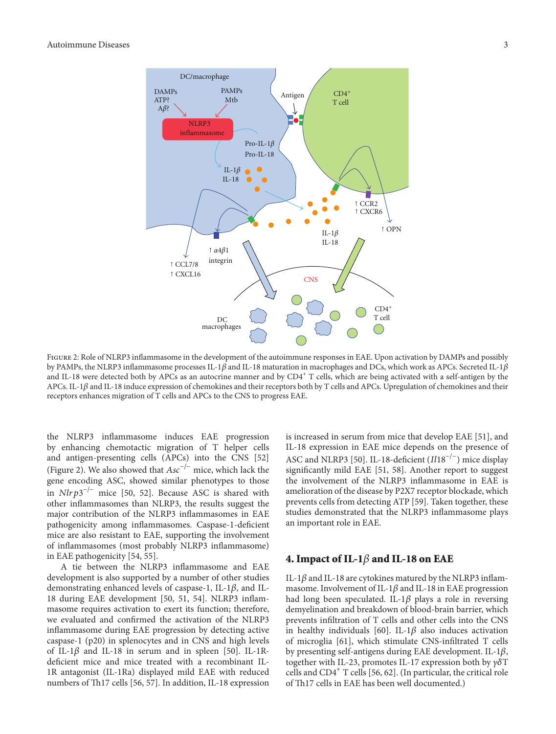

FIGURE 2: Role of NLRP3 inflammasome in the development of the autoimmune responses in EAE. Upon activation by DAMPs and possibly by PAMPs, the NLRP3 inflammasome processes IL-1 $\beta$  and IL-18 maturation in macrophages and DCs, which work as APCs. Secreted IL-1 $\beta$ and IL-18 were detected both by APCs as an autocrine manner and by  $CD4^+$  T cells, which are being activated with a self-antigen by the APCs. IL-1 $\beta$  and IL-18 induce expression of chemokines and their receptors both by T cells and APCs. Upregulation of chemokines and their receptors enhances migration of T cells and APCs to the CNS to progress EAE.

the NLRP3 inflammasome induces EAE progression by enhancing chemotactic migration of T helper cells and antigen-presenting cells (APCs) into the CNS [52] (Figure 2). We also showed that  $Asc^{-/-}$  mice, which lack the gene encoding ASC, showed similar phenotypes to those in  $Nlrp3^{-/-}$  mice [50, 52]. Because ASC is shared with other inflammasomes than NLRP3, the results suggest the major contribution of the NLRP3 inflammasomes in EAE pathogenicity among inflammasomes. Caspase-1-deficient mice are also resistant to EAE, supporting the involvement of inflammasomes (most probably NLRP3 inflammasome) in EAE pathogenicity  $[54, 55]$ .

A tie between the NLRP3 inflammasome and EAE development is also supported by a number of other studies 18 during EAE development [50, 51, 54]. NLRP3 inflam-<br>masome requires activation to exert its function; therefore, demonstrating enhanced levels of caspase-1, IL-1 $\beta$ , and IL-<br>18 during EAE development [50, 51, 54]. NLRP3 inflamwe evaluated and confirmed the activation of the NLRP3 inflammasome during EAE progression by detecting active caspase-1 (p20) in splenocytes and in CNS and high levels 1R antagonist (IL-1Ra) displayed mild EAE with reduced deficient mice and mice treated with a recombinant ILof IL-1 $\beta$  and IL-18 in serum and in spleen [50]. IL-1Rnumbers of Th17 cells [56, 57]. In addition, IL-18 expression is increased in serum from mice that develop EAE [51], and IL-18 expression in EAE mice depends on the presence of ASC and NLRP3 [50]. IL-18-deficient  $(Il18^{-/-})$  mice display significantly mild EAE [51, 58]. Another report to suggest the involvement of the NLRP3 inflammasome in EAE is amelioration of the disease by P2X7 receptor blockade, which prevents cells from detecting ATP [59]. Taken together, these studies demonstrated that the NLRP3 inflammasome plays an important role in EAE.

## 4. Impact of IL-1 $\beta$  and IL-18 on EAE

masome. Involvement of IL-1 $\beta$  and IL-18 in EAE progression IL-1 $\beta$  and IL-18 are cytokines matured by the NLRP3 inflamhad long been speculated. IL-1 $\beta$  plays a role in reversing demyelination and breakdown of blood-brain barrier, which prevents infiltration of T cells and other cells into the CNS in healthy individuals [60]. IL-1 $\beta$  also induces activation of microglia [61], which stimulate CNS-infiltrated T cells by presenting self-antigens during EAE development. IL-1 $\beta$ , together with IL-23, promotes IL-17 expression both by  $\gamma \delta T$ cells and  $CD4^+$  T cells [56, 62]. (In particular, the critical role of Th17 cells in EAE has been well documented.)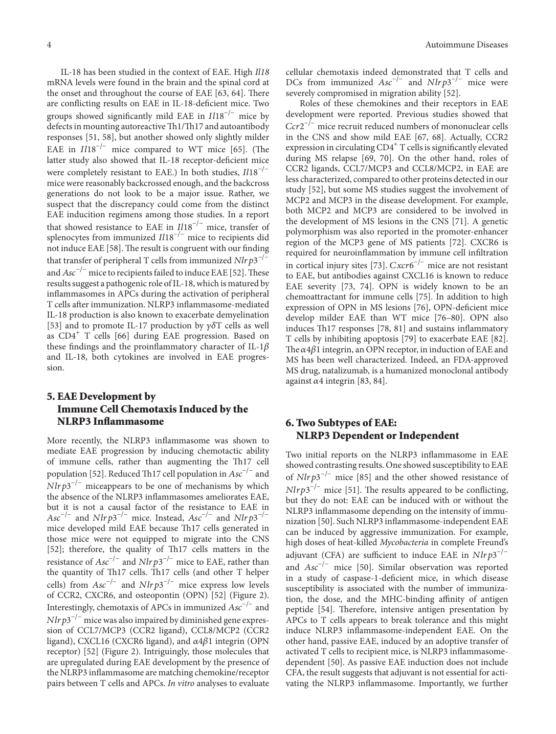IL-18 has been studied in the context of EAE. High  $1118$ mRNA levels were found in the brain and the spinal cord at the onset and throughout the course of EAE [63, 64]. There are conflicting results on EAE in IL-18-deficient mice. Two groups showed significantly mild EAE in  $\it{Il}18^{-/-}$  mice by defects in mounting autoreactive Th1/Th17 and autoantibody responses [51, 58], but another showed only slightly milder EAE in  $I/18^{-/-}$  mice compared to WT mice [65]. (The latter study also showed that IL-18 receptor-deficient mice were completely resistant to EAE.) In both studies,  $I118^{-/-}$ mice were reasonably backcrossed enough, and the backcross generations do not look to be a major issue. Rather, we suspect that the discrepancy could come from the distinct EAE inducition regimens among those studies. In a report that showed resistance to EAE in  $I/18^{-/-}$  mice, transfer of splenocytes from immunized  $I118^{-/-}$  mice to recipients did not induce EAE [58]. The result is congruent with our finding that transfer of peripheral T cells from immunized  $Nlrp3^{-/-}$ and  $Asc^{-/-}$  mice to recipients failed to induce EAE [52]. These results suggest a pathogenic role of IL-18, which is matured by inflammasomes in APCs during the activation of peripheral T cells after immunization. NLRP3 inflammasome-mediated IL-18 production is also known to exacerbate demyelination [53] and to promote IL-17 production by  $\gamma \delta T$  cells as well as  $CD4^+$  T cells [66] during EAE progression. Based on these findings and the proinflammatory character of IL-1 $\beta$ and IL-18, both cytokines are involved in EAE progression.

## 5. EAE Development by Immune Cell Chemotaxis Induced by the NLRP3 Inflammasome

More recently, the NLRP3 inflammasome was shown to mediate EAE progression by inducing chemotactic ability of immune cells, rather than augmenting the Th17 cell population [52]. Reduced Th17 cell population in  $Asc^{-/-}$  and  $Nlrp3^{-/-}$  miceappears to be one of mechanisms by which the absence of the NLRP3 inflammasomes ameliorates EAE, but it is not a causal factor of the resistance to EAE in  $Asc^{-/-}$  and  $Nlrp3^{-/-}$  mice. Instead,  $Asc^{-/-}$  and  $Nlrp3^{-/-}$ mice developed mild EAE because Th17 cells generated in those mice were not equipped to migrate into the CNS [52]; therefore, the quality of Th17 cells matters in the resistance of  $Asc^{-/-}$  and  $Nlrp3^{-/-}$  mice to EAE, rather than the quantity of Th17 cells. Th17 cells (and other T helper cells) from  $Asc^{-/-}$  and  $Nlrp3^{-/-}$  mice express low levels of CCR2, CXCR6, and osteopontin (OPN) [52] (Figure 2). Interestingly, chemotaxis of APCs in immunized  $Asc^{-/-}$  and sion of CCL7/MCP3 (CCR2 ligand), CCL8/MCP2 (CCR2  $Nlrp3^{-/-}$  mice was also impaired by diminished gene expresligand), CXCL16 (CXCR6 ligand), and  $\alpha$ 4 $\beta$ 1 integrin (OPN receptor) [52] (Figure 2). Intriguingly, those molecules that are upregulated during EAE development by the presence of the NLRP3 inflammasome are matching chemokine/receptor pairs between T cells and APCs. In vitro analyses to evaluate

cellular chemotaxis indeed demonstrated that T cells and DCs from immunized  $Asc^{-/-}$  and  $Nlrp3^{-/-}$  mice were severely compromised in migration ability  $[52]$ .

Roles of these chemokines and their receptors in EAE development were reported. Previous studies showed that  $Ccr2^{-/-}$  mice recruit reduced numbers of mononuclear cells in the CNS and show mild EAE [67, 68]. Actually, CCR2 expression in circulating  $CD4^+$  T cells is significantly elevated during MS relapse [69, 70]. On the other hand, roles of CCR2 ligands, CCL7/MCP3 and CCL8/MCP2, in EAE are less characterized, compared to other proteins detected in our study [52], but some MS studies suggest the involvement of MCP2 and MCP3 in the disease development. For example, both MCP2 and MCP3 are considered to be involved in the development of MS lesions in the CNS  $[71]$ . A genetic polymorphism was also reported in the promoter-enhancer region of the MCP3 gene of MS patients [72]. CXCR6 is required for neuroinflammation by immune cell infiltration in cortical injury sites [73].  $Cxcr6^{-/-}$  mice are not resistant to EAE, but antibodies against CXCL16 is known to reduce EAE severity [73, 74]. OPN is widely known to be an chemoattractant for immune cells [75]. In addition to high expression of OPN in MS lesions  $[76]$ , OPN-deficient mice develop milder EAE than WT mice [76-80]. OPN also induces Th17 responses  $[78, 81]$  and sustains inflammatory T cells by inhibiting apoptosis [79] to exacerbate EAE [82]. The  $\alpha$ 4 $\beta$ 1 integrin, an OPN receptor, in induction of EAE and MS has been well characterized. Indeed, an FDA-approved MS drug, natalizumab, is a humanized monoclonal antibody against  $\alpha$ 4 integrin [83, 84].

## 6. Two Subtypes of EAE: NLRP3 Dependent or Independent

Two initial reports on the NLRP3 inflammasome in EAE showed contrasting results. One showed susceptibility to EAE of  $Nlrp3^{-/-}$  mice [85] and the other showed resistance of  $Nlrp3^{-/-}$  mice [51]. The results appeared to be conflicting, but they do not: EAE can be induced with or without the nization [50]. Such NLRP3 inflammasome-independent EAE NLRP3 inflammasome depending on the intensity of immucan be induced by aggressive immunization. For example, high doses of heat-killed Mycobacteria in complete Freund's adjuvant (CFA) are sufficient to induce EAE in  $Nlrp3^{-/-}$ and  $Asc^{-/-}$  mice [50]. Similar observation was reported in a study of caspase-1-deficient mice, in which disease tion, the dose, and the MHC-binding affinity of antigen susceptibility is associated with the number of immunizapeptide [54]. Therefore, intensive antigen presentation by APCs to T cells appears to break tolerance and this might induce NLRP3 inflammasome-independent EAE. On the other hand, passive EAE, induced by an adoptive transfer of dependent [50]. As passive EAE induction does not include activated T cells to recipient mice, is NLRP3 inflammasomevating the NLRP3 inflammasome. Importantly, we further CFA, the result suggests that adjuvant is not essential for acti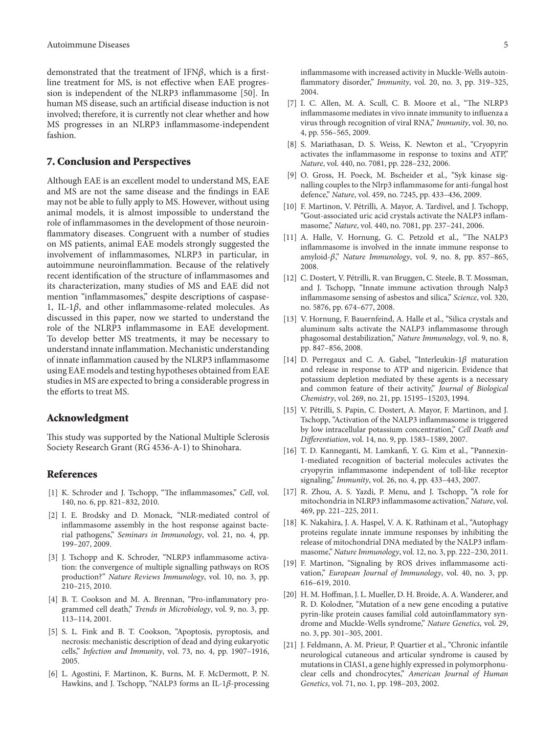line treatment for MS, is not effective when EAE progression is independent of the NLRP3 inflammasome [50]. In demonstrated that the treatment of IFN $\beta$ , which is a first-<br>line treatment for MS, is not effective when EAE progreshuman MS disease, such an artificial disease induction is not involved; therefore, it is currently not clear whether and how MS progresses in an NLRP3 inflammasome-independent fashion.

## 7. Conclusion and Perspectives

Although EAE is an excellent model to understand MS, EAE and MS are not the same disease and the findings in EAE may not be able to fully apply to MS. However, without using animal models, it is almost impossible to understand the role of inflammasomes in the development of those neuroinflammatory diseases. Congruent with a number of studies on MS patients, animal EAE models strongly suggested the involvement of inflammasomes, NLRP3 in particular, in autoimmune neuroinflammation. Because of the relatively recent identification of the structure of inflammasomes and its characterization, many studies of MS and EAE did not mention "inflammasomes," despite descriptions of caspase-<br>1, IL-1 $\beta$ , and other inflammasome-related molecules. As discussed in this paper, now we started to understand the role of the NLRP3 inflammasome in EAE development. To develop better MS treatments, it may be necessary to understand innate inflammation. Mechanistic understanding of innate inflammation caused by the NLRP3 inflammasome using EAE models and testing hypotheses obtained from EAE studies in MS are expected to bring a considerable progress in the efforts to treat MS.

## Acknowledgment

This study was supported by the National Multiple Sclerosis Society Research Grant (RG 4536-A-1) to Shinohara.

## References

- [1] K. Schroder and J. Tschopp, "The inflammasomes," Cell, vol. 140, no. 6, pp. 821-832, 2010.
- [2] I. E. Brodsky and D. Monack, "NLR-mediated control of rial pathogens," Seminars in Immunology, vol. 21, no. 4, pp. inflammasome assembly in the host response against bacte-199-207, 2009.
- tion: the convergence of multiple signalling pathways on ROS [3] J. Tschopp and K. Schroder, "NLRP3 inflammasome activaproduction?" Nature Reviews Immunology, vol. 10, no. 3, pp. 210-215, 2010.
- grammed cell death," *Trends in Microbiology*, vol. 9, no. 3, pp. [4] B. T. Cookson and M. A. Brennan, "Pro-inflammatory pro-113-114, 2001.
- [5] S. L. Fink and B. T. Cookson, "Apoptosis, pyroptosis, and necrosis: mechanistic description of dead and dying eukaryotic cells," Infection and Immunity, vol. 73, no. 4, pp. 1907-1916, 2005.
- [6] L. Agostini, F. Martinon, K. Burns, M. F. McDermott, P. N. Hawkins, and J. Tschopp, "NALP3 forms an IL-1 $\beta$ -processing

inflammasome with increased activity in Muckle-Wells autoinflammatory disorder," Immunity, vol. 20, no. 3, pp. 319-325, 2004.

- [7] I. C. Allen, M. A. Scull, C. B. Moore et al., "The NLRP3 inflammasome mediates in vivo innate immunity to influenza a virus through recognition of viral RNA," Immunity, vol. 30, no. 4, pp. 556-565, 2009.
- [8] S. Mariathasan, D. S. Weiss, K. Newton et al., "Cryopyrin activates the inflammasome in response to toxins and ATP," Nature, vol. 440, no. 7081, pp. 228-232, 2006.
- nalling couples to the Nlrp3 inflammasome for anti-fungal host [9] O. Gross, H. Poeck, M. Bscheider et al., "Syk kinase sigdefence," Nature, vol. 459, no. 7245, pp. 433-436, 2009.
- [10] F. Martinon, V. Pétrilli, A. Mayor, A. Tardivel, and J. Tschopp, "Gout-associated uric acid crystals activate the NALP3 inflam-<br>masome," *Nature*, vol. 440, no. 7081, pp. 237–241, 2006.
- [11] A. Halle, V. Hornung, G. C. Petzold et al., "The NALP3 inflammasome is involved in the innate immune response to amyloid- $\beta$ ," Nature Immunology, vol. 9, no. 8, pp. 857-865, 2008.
- [12] C. Dostert, V. Pétrilli, R. van Bruggen, C. Steele, B. T. Mossman, and J. Tschopp, "Innate immune activation through Nalp3 inflammasome sensing of asbestos and silica," Science, vol. 320, no. 5876, pp. 674-677, 2008.
- [13] V. Hornung, F. Bauernfeind, A. Halle et al., "Silica crystals and aluminum salts activate the NALP3 inflammasome through phagosomal destabilization," Nature Immunology, vol. 9, no. 8, pp. 847-856, 2008.
- [14] D. Perregaux and C. A. Gabel, "Interleukin-1 $\beta$  maturation and release in response to ATP and nigericin. Evidence that potassium depletion mediated by these agents is a necessary and common feature of their activity," Journal of Biological Chemistry, vol. 269, no. 21, pp. 15195-15203, 1994.
- [15] V. Pétrilli, S. Papin, C. Dostert, A. Mayor, F. Martinon, and J. Tschopp, "Activation of the NALP3 inflammasome is triggered by low intracellular potassium concentration," Cell Death and Differentiation, vol. 14, no. 9, pp. 1583-1589, 2007.
- 1-mediated recognition of bacterial molecules activates the [16] T. D. Kanneganti, M. Lamkanfi, Y. G. Kim et al., "Pannexincryopyrin inflammasome independent of toll-like receptor signaling," *Immunity*, vol. 26, no. 4, pp. 433-443, 2007.
- [17] R. Zhou, A. S. Yazdi, P. Menu, and J. Tschopp, "A role for mitochondria in NLRP3 inflammasome activation," Nature, vol. 469, pp. 221-225, 2011.
- [18] K. Nakahira, J. A. Haspel, V. A. K. Rathinam et al., "Autophagy proteins regulate innate immune responses by inhibiting the release of mitochondrial DNA mediated by the NALP3 inflam-<br>masome," *Nature Immunology*, vol. 12, no. 3, pp. 222–230, 2011.
- vation," *European Journal of Immunology*, vol. 40, no. 3, pp. [19] F. Martinon, "Signaling by ROS drives inflammasome acti-616-619, 2010.
- [20] H. M. Hoffman, J. L. Mueller, D. H. Broide, A. A. Wanderer, and R. D. Kolodner, "Mutation of a new gene encoding a putative drome and Muckle-Wells syndrome," Nature Genetics, vol. 29, pyrin-like protein causes familial cold autoinflammatory synno. 3, pp. 301-305, 2001.
- [21] J. Feldmann, A. M. Prieur, P. Quartier et al., "Chronic infantile neurological cutaneous and articular syndrome is caused by clear cells and chondrocytes," American Journal of Human mutations in CIAS1, a gene highly expressed in polymorphonu-Genetics, vol. 71, no. 1, pp. 198-203, 2002.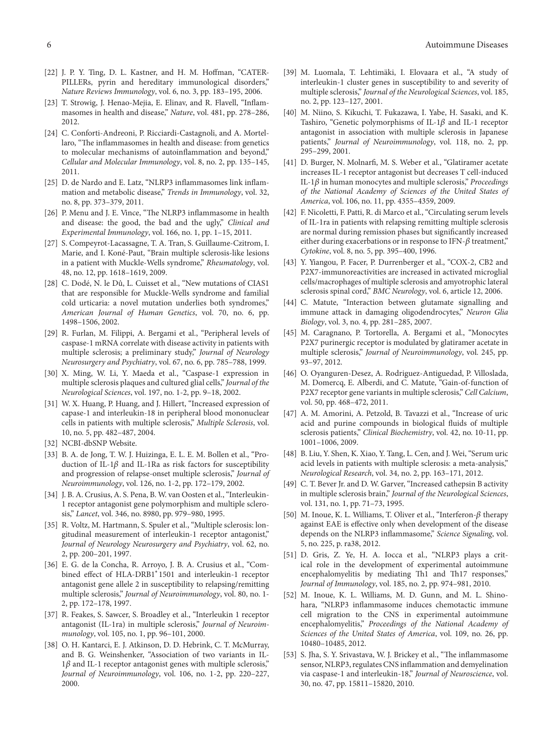- PILLERs, pyrin and hereditary immunological disorders," [22] J. P. Y. Ting, D. L. Kastner, and H. M. Hoffman, "CATER-Nature Reviews Immunology, vol. 6, no. 3, pp. 183-195, 2006.
- masomes in health and disease," Nature, vol. 481, pp. 278-286, [23] T. Strowig, J. Henao-Mejia, E. Elinav, and R. Flavell, "Inflam-2012.
- laro, "The inflammasomes in health and disease: from genetics [24] C. Conforti-Andreoni, P. Ricciardi-Castagnoli, and A. Mortelto molecular mechanisms of autoinflammation and beyond," Cellular and Molecular Immunology, vol. 8, no. 2, pp. 135-145, 2011.
- mation and metabolic disease," Trends in Immunology, vol. 32, [25] D. de Nardo and E. Latz, "NLRP3 inflammasomes link inflamno. 8, pp. 373-379, 2011.
- [26] P. Menu and J. E. Vince, "The NLRP3 inflammasome in health and disease: the good, the bad and the ugly," Clinical and Experimental Immunology, vol. 166, no. 1, pp. 1-15, 2011.
- [27] S. Compeyrot-Lacassagne, T. A. Tran, S. Guillaume-Czitrom, I. Marie, and I. Koné-Paut, "Brain multiple sclerosis-like lesions in a patient with Muckle-Wells syndrome," Rheumatology, vol. 48, no. 12, pp. 1618-1619, 2009.
- [28] C. Dodé, N. le Dû, L. Cuisset et al., "New mutations of CIAS1 that are responsible for Muckle-Wells syndrome and familial cold urticaria: a novel mutation underlies both syndromes," American Journal of Human Genetics, vol. 70, no. 6, pp. 1498-1506, 2002.
- [29] R. Furlan, M. Filippi, A. Bergami et al., "Peripheral levels of caspase-1 mRNA correlate with disease activity in patients with multiple sclerosis; a preliminary study," Journal of Neurology Neurosurgery and Psychiatry, vol. 67, no. 6, pp. 785-788, 1999.
- [30] X. Ming, W. Li, Y. Maeda et al., "Caspase-1 expression in *the multiple sclerosis plaques and cultured glial cells," Journal of the Neurological Sciences, vol. 197, no. 1-2, pp. 9-18, 2002.*
- [31] W. X. Huang, P. Huang, and J. Hillert, "Increased expression of capase-1 and interleukin-18 in peripheral blood mononuclear cells in patients with multiple sclerosis," Multiple Sclerosis, vol. 10, no. 5, pp. 482-487, 2004.
- [32] NCBI-dbSNP Website.
- duction of IL-1 $\beta$  and IL-1Ra as risk factors for susceptibility [33] B. A. de Jong, T. W. J. Huizinga, E. L. E. M. Bollen et al., "Proand progression of relapse-onset multiple sclerosis," Journal of Neuroimmunology, vol. 126, no. 1-2, pp. 172-179, 2002.
- 1 receptor antagonist gene polymorphism and multiple sclero-<br>sis," *Lancet*, vol. 346, no. 8980, pp. 979–980, 1995. [34] J. B. A. Crusius, A. S. Pena, B. W. van Oosten et al., "Interleukin-<br>1 receptor antagonist gene polymorphism and multiple sclero-
- gitudinal measurement of interleukin-1 receptor antagonist," [35] R. Voltz, M. Hartmann, S. Spuler et al., "Multiple sclerosis: lon-Journal of Neurology Neurosurgery and Psychiatry, vol. 62, no. 2, pp. 200-201, 1997.
- E. G. de la Concha, R. Arroyo, J. B. A. Crusius et al., "Com-<br>bined-effect of HLA-DRB1\*1501 and interleukin-1 receptor [36] E. G. de la Concha, R. Arroyo, J. B. A. Crusius et al., "Comantagonist gene allele 2 in susceptibility to relapsing/remitting multiple sclerosis," *Journal of Neuroimmunology*, vol. 80, no. 1-2, pp. 172-178, 1997.
- [37] R. Feakes, S. Sawcer, S. Broadley et al., "Interleukin 1 receptor antagonist (IL-1ra) in multiple sclerosis," *Journal of Neuroim-*<br>*munology*, vol. 105, no. 1, pp. 96–101, 2000.
- [38] O. H. Kantarci, E. J. Atkinson, D. D. Hebrink, C. T. McMurray, and B. G. Weinshenker, "Association of two variants in IL- $1\beta$  and IL-1 receptor antagonist genes with multiple sclerosis," Journal of Neuroimmunology, vol. 106, no. 1-2, pp. 220-227, 2000.
- [39] M. Luomala, T. Lehtimäki, I. Elovaara et al., "A study of interleukin-1 cluster genes in susceptibility to and severity of multiple sclerosis," Journal of the Neurological Sciences, vol. 185, no. 2, pp. 123-127, 2001.
- [40] M. Niino, S. Kikuchi, T. Fukazawa, I. Yabe, H. Sasaki, and K. Tashiro, "Genetic polymorphisms of IL-1 $\beta$  and IL-1 receptor antagonist in association with multiple sclerosis in Japanese patients," Journal of Neuroimmunology, vol. 118, no. 2, pp. 295-299, 2001.
- [41] D. Burger, N. Molnarfi, M. S. Weber et al., "Glatiramer acetate increases IL-1 receptor antagonist but decreases T cell-induced  $IL-1\beta$  in human monocytes and multiple sclerosis," Proceedings of the National Academy of Sciences of the United States of America, vol. 106, no. 11, pp. 4355-4359, 2009.
- [42] F. Nicoletti, F. Patti, R. di Marco et al., "Circulating serum levels of IL-1ra in patients with relapsing remitting multiple sclerosis are normal during remission phases but significantly increased either during exacerbations or in response to IFN- $\beta$  treatment," Cytokine, vol. 8, no. 5, pp. 395-400, 1996.
- [43] Y. Yiangou, P. Facer, P. Durrenberger et al., "COX-2, CB2 and P2X7-immunoreactivities are increased in activated microglial cells/macrophages of multiple sclerosis and amyotrophic lateral sclerosis spinal cord," BMC Neurology, vol. 6, article 12, 2006.
- [44] C. Matute, "Interaction between glutamate signalling and immune attack in damaging oligodendrocytes," Neuron Glia *Biology*, vol. 3, no. 4, pp. 281-285, 2007.
- [45] M. Caragnano, P. Tortorella, A. Bergami et al., "Monocytes P2X7 purinergic receptor is modulated by glatiramer acetate in multiple sclerosis," *Journal of Neuroimmunology*, vol. 245, pp. 93-97, 2012.
- [46] O. Oyanguren-Desez, A. Rodriguez-Antiguedad, P. Villoslada, M. Domercq, E. Alberdi, and C. Matute, "Gain-of-function of P2X7 receptor gene variants in multiple sclerosis," Cell Calcium, vol. 50, pp. 468-472, 2011.
- [47] A. M. Amorini, A. Petzold, B. Tavazzi et al., "Increase of uric acid and purine compounds in biological fluids of multiple sclerosis patients," Clinical Biochemistry, vol. 42, no. 10-11, pp. 1001-1006, 2009.
- [48] B. Liu, Y. Shen, K. Xiao, Y. Tang, L. Cen, and J. Wei, "Serum uric acid levels in patients with multiple sclerosis: a meta-analysis," Neurological Research, vol. 34, no. 2, pp. 163-171, 2012.
- [49] C. T. Bever Jr. and D. W. Garver, "Increased cathepsin B activity in multiple sclerosis brain," Journal of the Neurological Sciences, vol. 131, no. 1, pp. 71-73, 1995.
- [50] M. Inoue, K. L. Williams, T. Oliver et al., "Interferon- $\beta$  therapy against EAE is effective only when development of the disease depends on the NLRP3 inflammasome," Science Signaling, vol. 5, no. 225, p. ra 38, 2012.
- ical role in the development of experimental autoimmune [51] D. Gris, Z. Ye, H. A. Iocca et al., "NLRP3 plays a critencephalomyelitis by mediating Th1 and Th17 responses," Journal of Immunology, vol. 185, no. 2, pp. 974-981, 2010.
- hara, "NLRP3 inflammasome induces chemotactic immune [52] M. Inoue, K. L. Williams, M. D. Gunn, and M. L. Shinocell migration to the CNS in experimental autoimmune encephalomyelitis," Proceedings of the National Academy of Sciences of the United States of America, vol. 109, no. 26, pp. 10480-10485, 2012.
- [53] S. Jha, S. Y. Srivastava, W. J. Brickey et al., "The inflammasome sensor, NLRP3, regulates CNS inflammation and demyelination via caspase-1 and interleukin-18," Journal of Neuroscience, vol. 30, no. 47, pp. 15811-15820, 2010.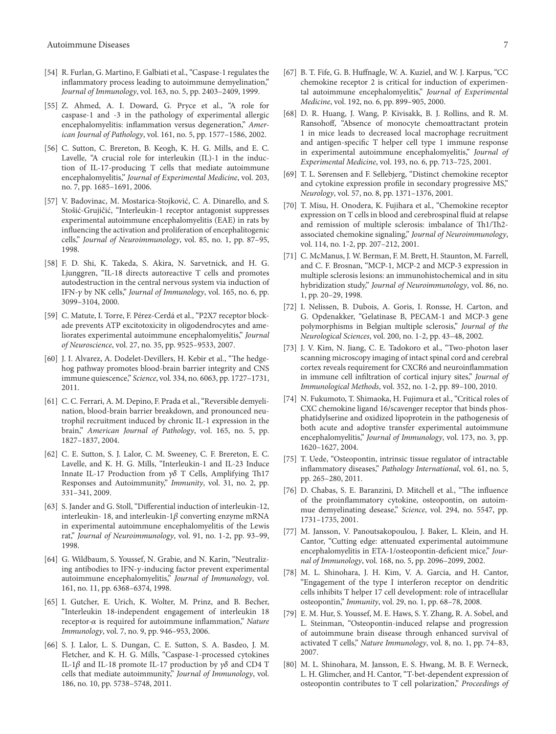- [54] R. Furlan, G. Martino, F. Galbiati et al., "Caspase-1 regulates the inflammatory process leading to autoimmune demyelination," Journal of Immunology, vol. 163, no. 5, pp. 2403-2409, 1999.
- [55] Z. Ahmed, A. I. Doward, G. Pryce et al., "A role for caspase-1 and -3 in the pathology of experimental allergic *ican Journal of Pathology, vol. 161, no. 5, pp. 1577-1586, 2002.* encephalomyelitis: inflammation versus degeneration," Amer-
- [56] C. Sutton, C. Brereton, B. Keogh, K. H. G. Mills, and E. C. tion of IL-17-producing T cells that mediate autoimmune Lavelle, "A crucial role for interleukin (IL)-1 in the inducencephalomyelitis," *Journal of Experimental Medicine*, vol. 203, no. 7, pp. 1685-1691, 2006.
- [57] V. Badovinac, M. Mostarica-Stojković, C. A. Dinarello, and S. Stošić-Grujičić, "Interleukin-1 receptor antagonist suppresses experimental autoimmune encephalomyelitis (EAE) in rats by influencing the activation and proliferation of encephalitogenic cells," Journal of Neuroimmunology, vol. 85, no. 1, pp. 87-95, 1998.
- [58] F. D. Shi, K. Takeda, S. Akira, N. Sarvetnick, and H. G. Ljunggren, "IL-18 directs autoreactive  $T$  cells and promotes autodestruction in the central nervous system via induction of IFN-γ by NK cells," *Journal of Immunology*, vol. 165, no. 6, pp. 3099-3104, 2000.
- liorates experimental autoimmune encephalomyelitis," Journal ade prevents ATP excitotoxicity in oligodendrocytes and ame-[59] C. Matute, I. Torre, F. Pérez-Cerdá et al., "P2X7 receptor blockof Neuroscience, vol. 27, no. 35, pp. 9525-9533, 2007.
- hog pathway promotes blood-brain-barrier integrity and CNS [60] J. I. Alvarez, A. Dodelet-Devillers, H. Kebir et al., "The hedgeimmune quiescence," Science, vol. 334, no. 6063, pp. 1727-1731, 2011.
- trophil recruitment induced by chronic IL-1 expression in the nation, blood-brain barrier breakdown, and pronounced neu-[61] C. C. Ferrari, A. M. Depino, F. Prada et al., "Reversible demyelibrain," American Journal of Pathology, vol. 165, no. 5, pp. 1827-1837, 2004.
- [62] C. E. Sutton, S. J. Lalor, C. M. Sweeney, C. F. Brereton, E. C. Lavelle, and K. H. G. Mills, "Interleukin-1 and IL-23 Induce Innate IL-17 Production from  $\gamma\delta$  T Cells, Amplifying Th17 Responses and Autoimmunity," Immunity, vol. 31, no. 2, pp. 2009. 341,–331
- [63] S. Jander and G. Stoll, "Differential induction of interleukin-12, interleukin-18, and interleukin-1 $\beta$  converting enzyme mRNA in experimental autoimmune encephalomyelitis of the Lewis rat," Journal of Neuroimmunology, vol. 91, no. 1-2, pp. 93-99, 1998.
- ing antibodies to IFN- $\gamma$ -inducing factor prevent experimental [64] G. Wildbaum, S. Youssef, N. Grabie, and N. Karin, "Neutralizautoimmune encephalomyelitis," Journal of Immunology, vol. 161, no. 11, pp. 6368-6374, 1998.
- [65] I. Gutcher, E. Urich, K. Wolter, M. Prinz, and B. Becher, "Interleukin 18-independent engagement of interleukin 18  $r$  receptor- $\alpha$  is required for autoimmune inflammation," Nature Immunology, vol. 7, no. 9, pp. 946-953, 2006.
- [66] S. J. Lalor, L. S. Dungan, C. E. Sutton, S. A. Basdeo, J. M. Fletcher, and K. H. G. Mills, "Caspase-1-processed cytokines IL-1 $\beta$  and IL-18 promote IL-17 production by  $\gamma\delta$  and CD4 T cells that mediate autoimmunity," Journal of Immunology, vol. 186, no. 10, pp. 5738-5748, 2011.
- [67] B. T. Fife, G. B. Huffnagle, W. A. Kuziel, and W. J. Karpus, "CC tal autoimmune encephalomyelitis," Journal of Experimental chemokine receptor 2 is critical for induction of experimen-Medicine, vol. 192, no. 6, pp. 899-905, 2000.
- [68] D. R. Huang, J. Wang, P. Kivisakk, B. J. Rollins, and R. M. Ransohoff, "Absence of monocyte chemoattractant protein 1 in mice leads to decreased local macrophage recruitment and antigen-specific T helper cell type 1 immune response in experimental autoimmune encephalomyelitis," Journal of Experimental Medicine, vol. 193, no. 6, pp. 713-725, 2001.
- [69] T. L. Sørensen and F. Sellebjerg, "Distinct chemokine receptor and cytokine expression profile in secondary progressive MS," Neurology, vol. 57, no. 8, pp. 1371-1376, 2001.
- [70] T. Misu, H. Onodera, K. Fujihara et al., "Chemokine receptor expression on T cells in blood and cerebrospinal fluid at relapse and remission of multiple sclerosis: imbalance of Th1/Th2associated chemokine signaling," Journal of Neuroimmunology, vol. 114, no. 1-2, pp. 207-212, 2001.
- [71] C. McManus, J. W. Berman, F. M. Brett, H. Staunton, M. Farrell, and C. F. Brosnan, "MCP-1, MCP-2 and MCP-3 expression in multiple sclerosis lesions: an immunohistochemical and in situ hybridization study," *Journal of Neuroimmunology*, vol. 86, no. 1, pp. 20-29, 1998.
- [72] I. Nelissen, B. Dubois, A. Goris, I. Ronsse, H. Carton, and G. Opdenakker, "Gelatinase B, PECAM-1 and MCP-3 gene polymorphisms in Belgian multiple sclerosis," Journal of the Neurological Sciences, vol. 200, no. 1-2, pp. 43-48, 2002.
- [73] J. V. Kim, N. Jiang, C. E. Tadokoro et al., "Two-photon laser scanning microscopy imaging of intact spinal cord and cerebral cortex reveals requirement for CXCR6 and neuroinflammation in immune cell infiltration of cortical injury sites," Journal of Immunological Methods, vol. 352, no. 1-2, pp. 89-100, 2010.
- [74] N. Fukumoto, T. Shimaoka, H. Fujimura et al., "Critical roles of phatidylserine and oxidized lipoprotein in the pathogenesis of CXC chemokine ligand 16/scavenger receptor that binds phosboth acute and adoptive transfer experimental autoimmune encephalomyelitis," *Journal of Immunology*, vol. 173, no. 3, pp. 1620-1627, 2004.
- [75] T. Uede, "Osteopontin, intrinsic tissue regulator of intractable inflammatory diseases," Pathology International, vol. 61, no. 5, pp. 265-280, 2011.
- [76] D. Chabas, S. E. Baranzini, D. Mitchell et al., "The influence mue demyelinating desease," Science, vol. 294, no. 5547, pp. of the proinflammatory cytokine, osteopontin, on autoim-1731-1735, 2001.
- [77] M. Jansson, V. Panoutsakopoulou, J. Baker, L. Klein, and H. Cantor, "Cutting edge: attenuated experimental autoimmune nal of Immunology, vol. 168, no. 5, pp. 2096-2099, 2002. encephalomyelitis in ETA-1/osteopontin-deficient mice," Jour-
- [78] M. L. Shinohara, J. H. Kim, V. A. Garcia, and H. Cantor, "Engagement of the type I interferon receptor on dendritic cells inhibits T helper 17 cell development: role of intracellular osteopontin," *Immunity*, vol. 29, no. 1, pp. 68-78, 2008.
- [79] E. M. Hur, S. Youssef, M. E. Haws, S. Y. Zhang, R. A. Sobel, and L. Steinman, "Osteopontin-induced relapse and progression of autoimmune brain disease through enhanced survival of activated T cells," Nature Immunology, vol. 8, no. 1, pp. 74-83, 2007.
- [80] M. L. Shinohara, M. Jansson, E. S. Hwang, M. B. F. Werneck, L. H. Glimcher, and H. Cantor, "T-bet-dependent expression of osteopontin contributes to T cell polarization," Proceedings of